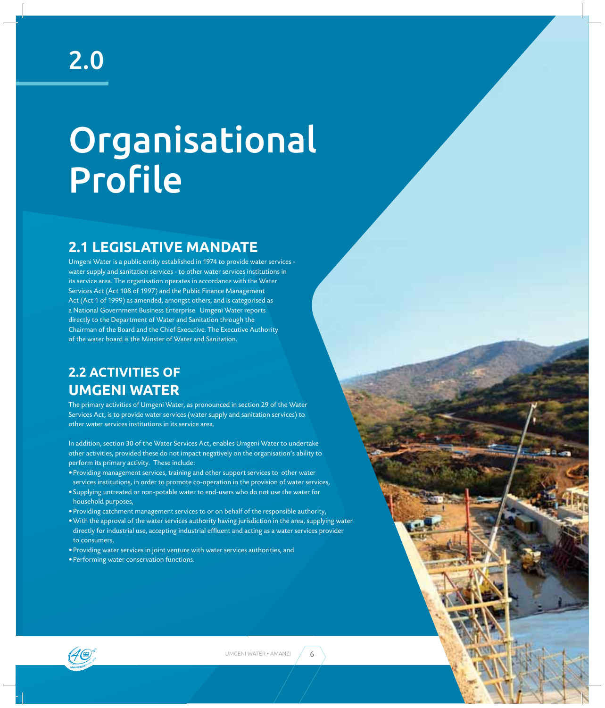# Organisational Profile

### **2.1 LEGISLATIVE MANDATE**

Umgeni Water is a public entity established in 1974 to provide water services water supply and sanitation services - to other water services institutions in its service area. The organisation operates in accordance with the Water Services Act (Act 108 of 1997) and the Public Finance Management Act (Act 1 of 1999) as amended, amongst others, and is categorised as a National Government Business Enterprise. Umgeni Water reports directly to the Department of Water and Sanitation through the Chairman of the Board and the Chief Executive. The Executive Authority of the water board is the Minster of Water and Sanitation.

## **2.2 ACTIVITIES OF UMGENI WATER**

The primary activities of Umgeni Water, as pronounced in section 29 of the Water Services Act, is to provide water services (water supply and sanitation services) to other water services institutions in its service area.

In addition, section 30 of the Water Services Act, enables Umgeni Water to undertake other activities, provided these do not impact negatively on the organisation's ability to perform its primary activity. These include:

- Providing management services, training and other support services to other water services institutions, in order to promote co-operation in the provision of water services,
- Supplying untreated or non-potable water to end-users who do not use the water for household purposes,
- Providing catchment management services to or on behalf of the responsible authority,
- With the approval of the water services authority having jurisdiction in the area, supplying water directly for industrial use, accepting industrial effluent and acting as a water services provider to consumers,
- Providing water services in joint venture with water services authorities, and
- Performing water conservation functions.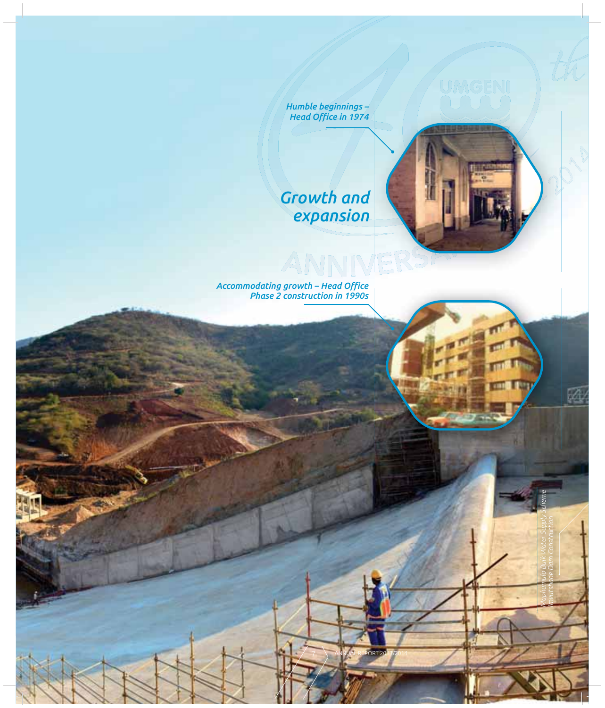*Humble beginnings – Head Office in 1974* 

# *Growth and expansion*

ANNIVERSI

7 ANNUAL REPORT 2013/2014

*Maphumulo Bulk Water Supply Scheme Imvutshane Dam Construction* 國

Accommodating growth – Head Office *Phase 2 construction in 1990s*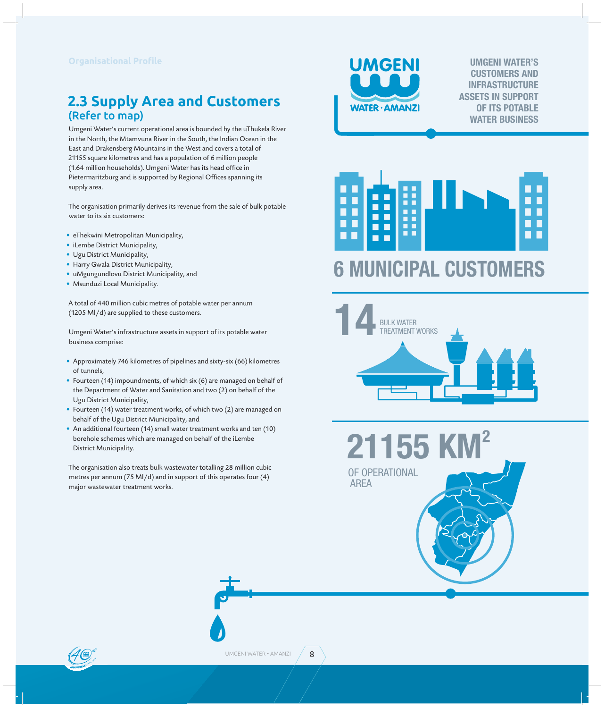#### **2.3 Supply Area and Customers**  (Refer to map)

Umgeni Water's current operational area is bounded by the uThukela River in the North, the Mtamvuna River in the South, the Indian Ocean in the East and Drakensberg Mountains in the West and covers a total of 21155 square kilometres and has a population of 6 million people (1.64 million households). Umgeni Water has its head office in Pietermaritzburg and is supported by Regional Offices spanning its supply area.

The organisation primarily derives its revenue from the sale of bulk potable water to its six customers:

- eThekwini Metropolitan Municipality,
- iLembe District Municipality,
- Ugu District Municipality,
- Harry Gwala District Municipality,
- uMgungundlovu District Municipality, and
- Msunduzi Local Municipality.

A total of 440 million cubic metres of potable water per annum (1205 Ml/d) are supplied to these customers.

Umgeni Water's infrastructure assets in support of its potable water business comprise:

- Approximately 746 kilometres of pipelines and sixty-six (66) kilometres of tunnels,
- Fourteen (14) impoundments, of which six (6) are managed on behalf of the Department of Water and Sanitation and two (2) on behalf of the Ugu District Municipality,
- Fourteen (14) water treatment works, of which two (2) are managed on behalf of the Ugu District Municipality, and
- An additional fourteen (14) small water treatment works and ten (10) borehole schemes which are managed on behalf of the iLembe District Municipality.

The organisation also treats bulk wastewater totalling 28 million cubic metres per annum (75 Ml/d) and in support of this operates four (4) major wastewater treatment works.



**UMGENI WATER'S CUSTOMERS AND INFRASTRUCTURE ASSETS IN SUPPORT OF ITS POTABLE WATER BUSINESS**



# **6 MUNICIPAL CUSTOMERS**



OF OPERATIONAL **21155** 

AREA



8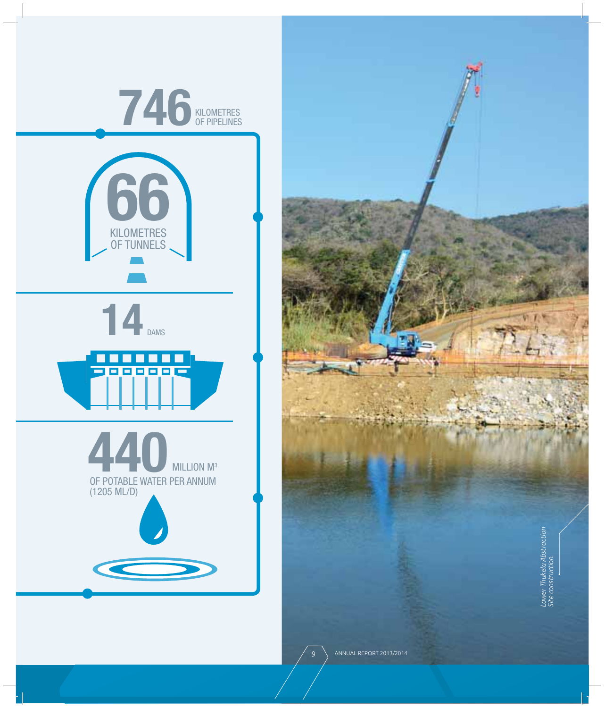

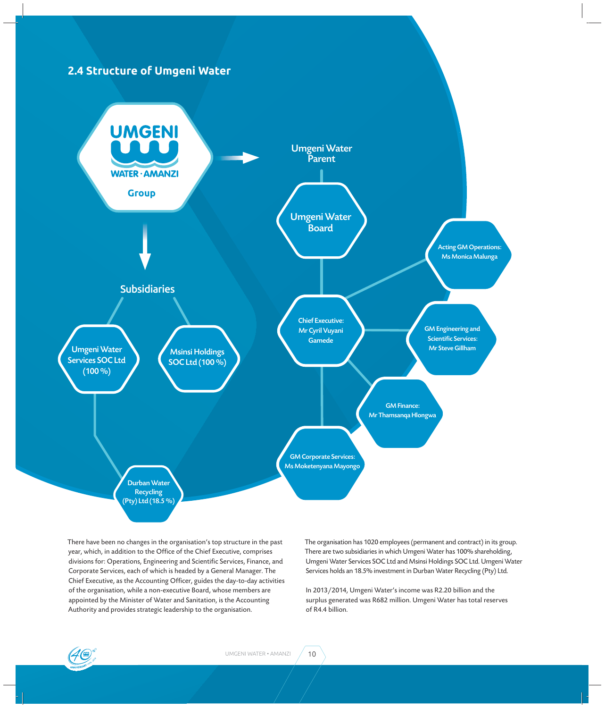

There have been no changes in the organisation's top structure in the past year, which, in addition to the Office of the Chief Executive, comprises divisions for: Operations, Engineering and Scientific Services, Finance, and Corporate Services, each of which is headed by a General Manager. The Chief Executive, as the Accounting Officer, guides the day-to-day activities of the organisation, while a non-executive Board, whose members are appointed by the Minister of Water and Sanitation, is the Accounting Authority and provides strategic leadership to the organisation.

The organisation has 1020 employees (permanent and contract) in its group. There are two subsidiaries in which Umgeni Water has 100% shareholding, Umgeni Water Services SOC Ltd and Msinsi Holdings SOC Ltd. Umgeni Water Services holds an 18.5% investment in Durban Water Recycling (Pty) Ltd.

In 2013/2014, Umgeni Water's income was R2.20 billion and the surplus generated was R682 million. Umgeni Water has total reserves of R4.4 billion.

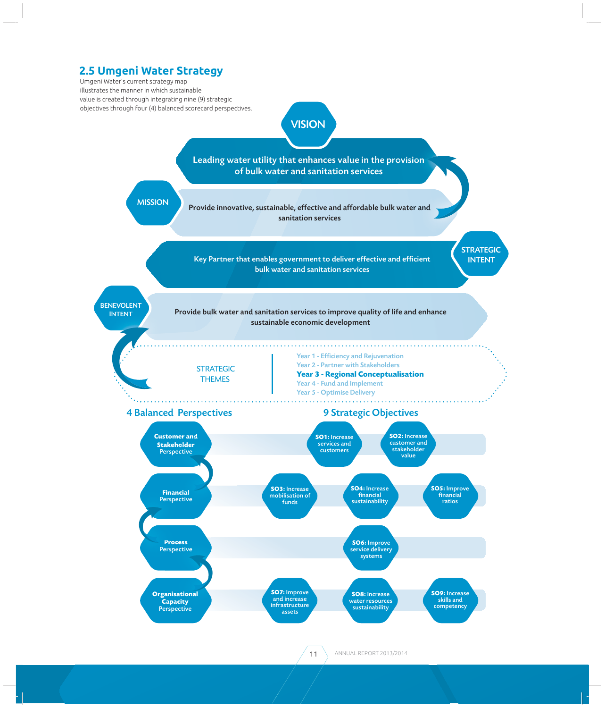#### **2.5 Umgeni Water Strategy**

Umgeni Water's current strategy map illustrates the manner in which sustainable value is created through integrating nine (9) strategic objectives through four (4) balanced scorecard perspectives.

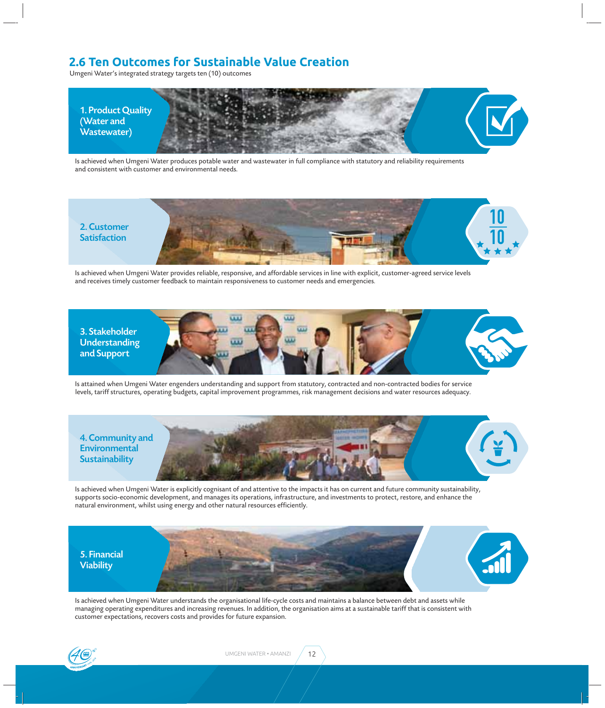#### **2.6 Ten Outcomes for Sustainable Value Creation**

Umgeni Water's integrated strategy targets ten (10) outcomes



Is achieved when Umgeni Water produces potable water and wastewater in full compliance with statutory and reliability requirements and consistent with customer and environmental needs.



Is achieved when Umgeni Water provides reliable, responsive, and affordable services in line with explicit, customer-agreed service levels and receives timely customer feedback to maintain responsiveness to customer needs and emergencies.



Is attained when Umgeni Water engenders understanding and support from statutory, contracted and non-contracted bodies for service levels, tariff structures, operating budgets, capital improvement programmes, risk management decisions and water resources adequacy.



Is achieved when Umgeni Water is explicitly cognisant of and attentive to the impacts it has on current and future community sustainability, supports socio-economic development, and manages its operations, infrastructure, and investments to protect, restore, and enhance the natural environment, whilst using energy and other natural resources efficiently.



Is achieved when Umgeni Water understands the organisational life-cycle costs and maintains a balance between debt and assets while managing operating expenditures and increasing revenues. In addition, the organisation aims at a sustainable tariff that is consistent with customer expectations, recovers costs and provides for future expansion.

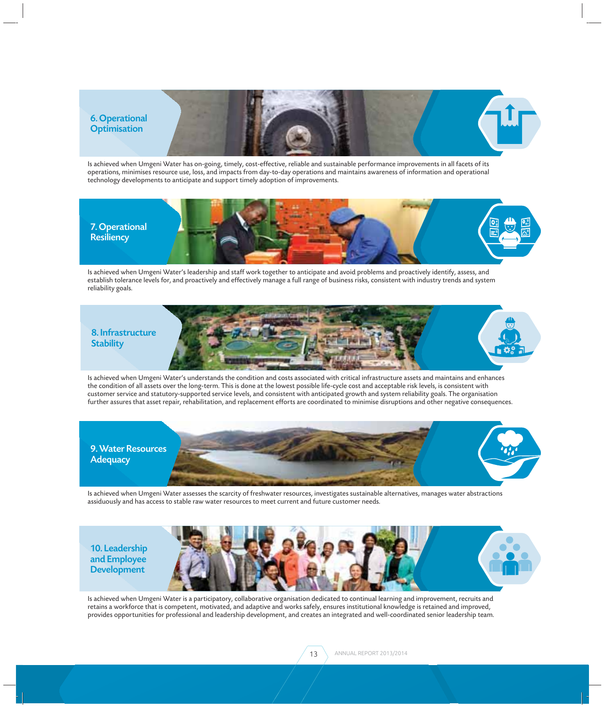

Is achieved when Umgeni Water has on-going, timely, cost-effective, reliable and sustainable performance improvements in all facets of its operations, minimises resource use, loss, and impacts from day-to-day operations and maintains awareness of information and operational technology developments to anticipate and support timely adoption of improvements.



Is achieved when Umgeni Water's leadership and staff work together to anticipate and avoid problems and proactively identify, assess, and establish tolerance levels for, and proactively and effectively manage a full range of business risks, consistent with industry trends and system reliability goals.



Is achieved when Umgeni Water's understands the condition and costs associated with critical infrastructure assets and maintains and enhances the condition of all assets over the long-term. This is done at the lowest possible life-cycle cost and acceptable risk levels, is consistent with customer service and statutory-supported service levels, and consistent with anticipated growth and system reliability goals. The organisation further assures that asset repair, rehabilitation, and replacement efforts are coordinated to minimise disruptions and other negative consequences.



Is achieved when Umgeni Water assesses the scarcity of freshwater resources, investigates sustainable alternatives, manages water abstractions assiduously and has access to stable raw water resources to meet current and future customer needs.

10. Leadership and Employee Development



Is achieved when Umgeni Water is a participatory, collaborative organisation dedicated to continual learning and improvement, recruits and retains a workforce that is competent, motivated, and adaptive and works safely, ensures institutional knowledge is retained and improved, provides opportunities for professional and leadership development, and creates an integrated and well-coordinated senior leadership team.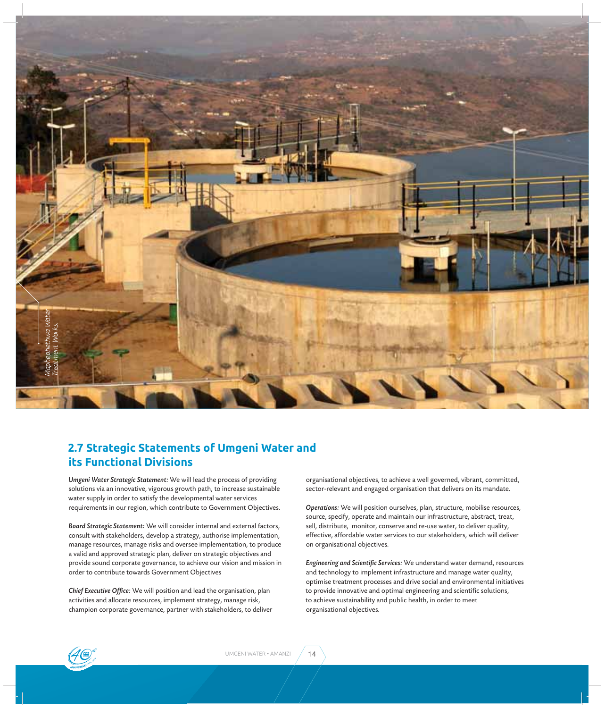

#### **2.7 Strategic Statements of Umgeni Water and its Functional Divisions**

*Umgeni Water Strategic Statement:* We will lead the process of providing solutions via an innovative, vigorous growth path, to increase sustainable water supply in order to satisfy the developmental water services requirements in our region, which contribute to Government Objectives.

*Board Strategic Statement:* We will consider internal and external factors, consult with stakeholders, develop a strategy, authorise implementation, manage resources, manage risks and oversee implementation, to produce a valid and approved strategic plan, deliver on strategic objectives and provide sound corporate governance, to achieve our vision and mission in order to contribute towards Government Objectives

**Chief Executive Office:** We will position and lead the organisation, plan activities and allocate resources, implement strategy, manage risk, champion corporate governance, partner with stakeholders, to deliver organisational objectives, to achieve a well governed, vibrant, committed, sector-relevant and engaged organisation that delivers on its mandate.

*Operations:* We will position ourselves, plan, structure, mobilise resources, source, specify, operate and maintain our infrastructure, abstract, treat, sell, distribute, monitor, conserve and re-use water, to deliver quality, effective, affordable water services to our stakeholders, which will deliver on organisational objectives.

**Engineering and Scientific Services:** We understand water demand, resources and technology to implement infrastructure and manage water quality, optimise treatment processes and drive social and environmental initiatives to provide innovative and optimal engineering and scientific solutions, to achieve sustainability and public health, in order to meet organisational objectives.